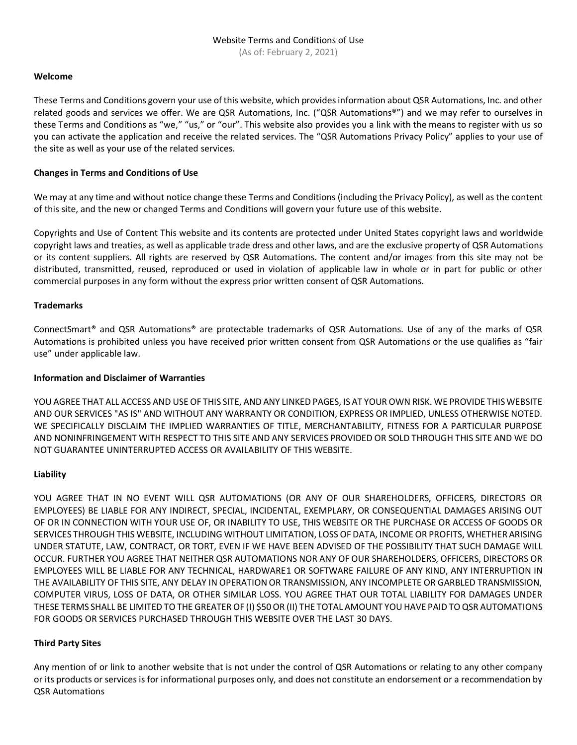(As of: February 2, 2021)

## **Welcome**

These Terms and Conditions govern your use of this website, which provides information about QSR Automations, Inc. and other related goods and services we offer. We are QSR Automations, Inc. ("QSR Automations®") and we may refer to ourselves in these Terms and Conditions as "we," "us," or "our". This website also provides you a link with the means to register with us so you can activate the application and receive the related services. The "QSR Automations Privacy Policy" applies to your use of the site as well as your use of the related services.

## **Changes in Terms and Conditions of Use**

We may at any time and without notice change these Terms and Conditions (including the Privacy Policy), as well as the content of this site, and the new or changed Terms and Conditions will govern your future use of this website.

Copyrights and Use of Content This website and its contents are protected under United States copyright laws and worldwide copyright laws and treaties, as well as applicable trade dress and other laws, and are the exclusive property of QSR Automations or its content suppliers. All rights are reserved by QSR Automations. The content and/or images from this site may not be distributed, transmitted, reused, reproduced or used in violation of applicable law in whole or in part for public or other commercial purposes in any form without the express prior written consent of QSR Automations.

## **Trademarks**

ConnectSmart® and QSR Automations® are protectable trademarks of QSR Automations. Use of any of the marks of QSR Automations is prohibited unless you have received prior written consent from QSR Automations or the use qualifies as "fair use" under applicable law.

## **Information and Disclaimer of Warranties**

YOU AGREE THAT ALL ACCESS AND USE OF THIS SITE, AND ANY LINKED PAGES, IS AT YOUR OWN RISK. WE PROVIDE THIS WEBSITE AND OUR SERVICES "AS IS" AND WITHOUT ANY WARRANTY OR CONDITION, EXPRESS OR IMPLIED, UNLESS OTHERWISE NOTED. WE SPECIFICALLY DISCLAIM THE IMPLIED WARRANTIES OF TITLE, MERCHANTABILITY, FITNESS FOR A PARTICULAR PURPOSE AND NONINFRINGEMENT WITH RESPECT TO THIS SITE AND ANY SERVICES PROVIDED OR SOLD THROUGH THIS SITE AND WE DO NOT GUARANTEE UNINTERRUPTED ACCESS OR AVAILABILITY OF THIS WEBSITE.

#### **Liability**

YOU AGREE THAT IN NO EVENT WILL QSR AUTOMATIONS (OR ANY OF OUR SHAREHOLDERS, OFFICERS, DIRECTORS OR EMPLOYEES) BE LIABLE FOR ANY INDIRECT, SPECIAL, INCIDENTAL, EXEMPLARY, OR CONSEQUENTIAL DAMAGES ARISING OUT OF OR IN CONNECTION WITH YOUR USE OF, OR INABILITY TO USE, THIS WEBSITE OR THE PURCHASE OR ACCESS OF GOODS OR SERVICES THROUGH THIS WEBSITE, INCLUDING WITHOUT LIMITATION, LOSS OF DATA, INCOME OR PROFITS, WHETHER ARISING UNDER STATUTE, LAW, CONTRACT, OR TORT, EVEN IF WE HAVE BEEN ADVISED OF THE POSSIBILITY THAT SUCH DAMAGE WILL OCCUR. FURTHER YOU AGREE THAT NEITHER QSR AUTOMATIONS NOR ANY OF OUR SHAREHOLDERS, OFFICERS, DIRECTORS OR EMPLOYEES WILL BE LIABLE FOR ANY TECHNICAL, HARDWARE1 OR SOFTWARE FAILURE OF ANY KIND, ANY INTERRUPTION IN THE AVAILABILITY OF THIS SITE, ANY DELAY IN OPERATION OR TRANSMISSION, ANY INCOMPLETE OR GARBLED TRANSMISSION, COMPUTER VIRUS, LOSS OF DATA, OR OTHER SIMILAR LOSS. YOU AGREE THAT OUR TOTAL LIABILITY FOR DAMAGES UNDER THESE TERMS SHALL BE LIMITED TO THE GREATER OF (I) \$50 OR (II) THE TOTAL AMOUNT YOU HAVE PAID TO QSR AUTOMATIONS FOR GOODS OR SERVICES PURCHASED THROUGH THIS WEBSITE OVER THE LAST 30 DAYS.

#### **Third Party Sites**

Any mention of or link to another website that is not under the control of QSR Automations or relating to any other company or its products or services is for informational purposes only, and does not constitute an endorsement or a recommendation by QSR Automations